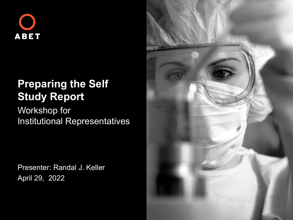

#### **Preparing the Self Study Report**

Workshop for Institutional Representatives

Presenter: Randal J. Keller April 29, 2022

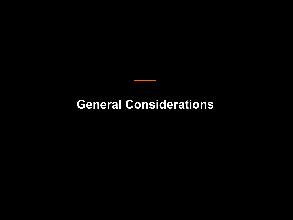#### **General Considerations**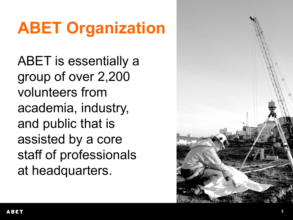# **ABET Organization**

ABET is essentially a group of over 2,200 volunteers from academia, industry, and public that is assisted by a core staff of professionals at headquarters.

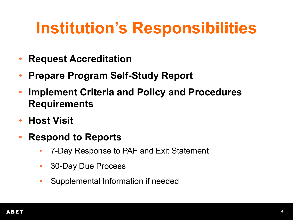## **Institution's Responsibilities**

- **Request Accreditation**
- **Prepare Program Self-Study Report**
- **Implement Criteria and Policy and Procedures Requirements**
- **Host Visit**
- **Respond to Reports**
	- 7-Day Response to PAF and Exit Statement
	- 30-Day Due Process
	- Supplemental Information if needed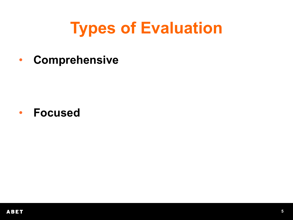## **Types of Evaluation**

• Comprehensive

• Focused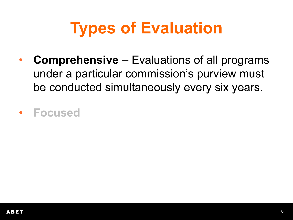# **Types of Evaluation**

- **Comprehensive**  Evaluations of all programs under a particular commission's purview must be conducted simultaneously every six years.
- **Focused**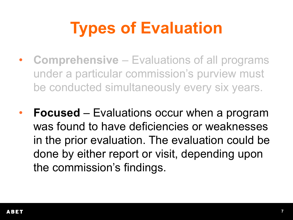# **Types of Evaluation**

- **Comprehensive**  Evaluations of all programs under a particular commission's purview must be conducted simultaneously every six years.
- **Focused**  Evaluations occur when a program was found to have deficiencies or weaknesses in the prior evaluation. The evaluation could be done by either report or visit, depending upon the commission's findings.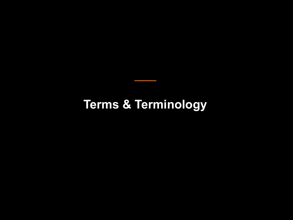#### **Terms & Terminology**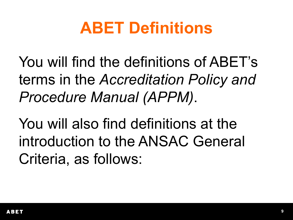## **ABET Definitions**

You will find the definitions of ABET's terms in the *Accreditation Policy and Procedure Manual (APPM)*.

You will also find definitions at the introduction to the ANSAC General Criteria, as follows: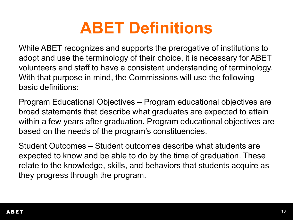#### **ABET Definitions**

While ABET recognizes and supports the prerogative of institutions to adopt and use the terminology of their choice, it is necessary for ABET volunteers and staff to have a consistent understanding of terminology. With that purpose in mind, the Commissions will use the following basic definitions:

Program Educational Objectives – Program educational objectives are broad statements that describe what graduates are expected to attain within a few years after graduation. Program educational objectives are based on the needs of the program's constituencies.

Student Outcomes – Student outcomes describe what students are expected to know and be able to do by the time of graduation. These relate to the knowledge, skills, and behaviors that students acquire as they progress through the program.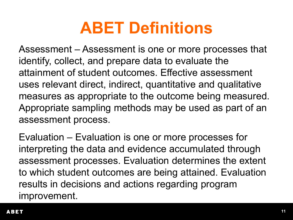## **ABET Definitions**

Assessment – Assessment is one or more processes that identify, collect, and prepare data to evaluate the attainment of student outcomes. Effective assessment uses relevant direct, indirect, quantitative and qualitative measures as appropriate to the outcome being measured. Appropriate sampling methods may be used as part of an assessment process.

Evaluation – Evaluation is one or more processes for interpreting the data and evidence accumulated through assessment processes. Evaluation determines the extent to which student outcomes are being attained. Evaluation results in decisions and actions regarding program improvement.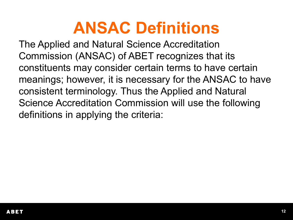#### **ANSAC Definitions**

The Applied and Natural Science Accreditation Commission (ANSAC) of ABET recognizes that its constituents may consider certain terms to have certain meanings; however, it is necessary for the ANSAC to have consistent terminology. Thus the Applied and Natural Science Accreditation Commission will use the following definitions in applying the criteria: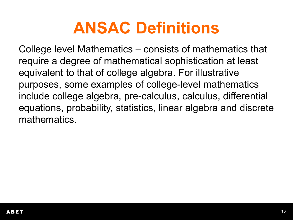#### **ANSAC Definitions**

College level Mathematics – consists of mathematics that require a degree of mathematical sophistication at least equivalent to that of college algebra. For illustrative purposes, some examples of college-level mathematics include college algebra, pre-calculus, calculus, differential equations, probability, statistics, linear algebra and discrete mathematics.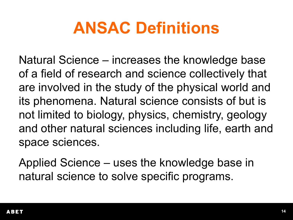### **ANSAC Definitions**

Natural Science – increases the knowledge base of a field of research and science collectively that are involved in the study of the physical world and its phenomena. Natural science consists of but is not limited to biology, physics, chemistry, geology and other natural sciences including life, earth and space sciences.

Applied Science – uses the knowledge base in natural science to solve specific programs.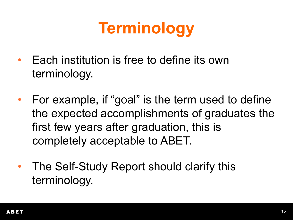## **Terminology**

- Each institution is free to define its own terminology.
- For example, if "goal" is the term used to define the expected accomplishments of graduates the first few years after graduation, this is completely acceptable to ABET.
- The Self-Study Report should clarify this terminology.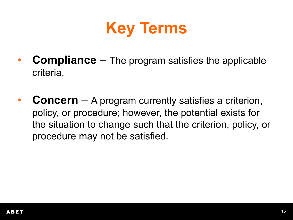

- **Compliance** The program satisfies the applicable criteria.
- **Concern** A program currently satisfies a criterion, policy, or procedure; however, the potential exists for the situation to change such that the criterion, policy, or procedure may not be satisfied.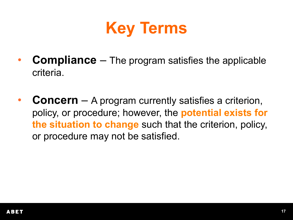

- **Compliance** The program satisfies the applicable criteria.
- **Concern** A program currently satisfies a criterion, policy, or procedure; however, the **potential exists for the situation to change** such that the criterion, policy, or procedure may not be satisfied.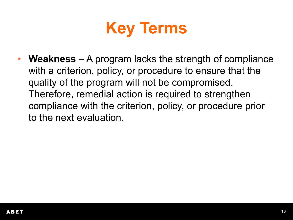

• **Weakness** – A program lacks the strength of compliance with a criterion, policy, or procedure to ensure that the quality of the program will not be compromised. Therefore, remedial action is required to strengthen compliance with the criterion, policy, or procedure prior to the next evaluation.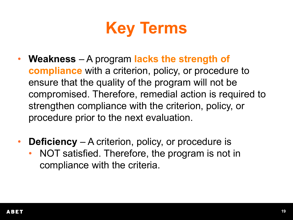

- **Weakness**  A program **lacks the strength of compliance** with a criterion, policy, or procedure to ensure that the quality of the program will not be compromised. Therefore, remedial action is required to strengthen compliance with the criterion, policy, or procedure prior to the next evaluation.
- **Deficiency**  A criterion, policy, or procedure is
	- NOT satisfied. Therefore, the program is not in compliance with the criteria.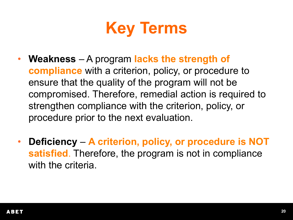

- **Weakness**  A program **lacks the strength of compliance** with a criterion, policy, or procedure to ensure that the quality of the program will not be compromised. Therefore, remedial action is required to strengthen compliance with the criterion, policy, or procedure prior to the next evaluation.
- **Deficiency A criterion, policy, or procedure is NOT satisfied**. Therefore, the program is not in compliance with the criteria.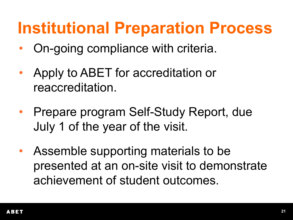#### **Institutional Preparation Process**

- On-going compliance with criteria.
- Apply to ABET for accreditation or reaccreditation.
- Prepare program Self-Study Report, due July 1 of the year of the visit.
- Assemble supporting materials to be presented at an on-site visit to demonstrate achievement of student outcomes.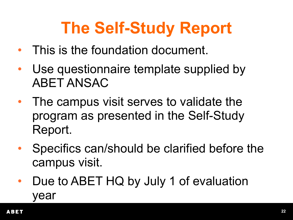# **The Self-Study Report**

- This is the foundation document.
- Use questionnaire template supplied by ABET ANSAC
- The campus visit serves to validate the program as presented in the Self-Study Report.
- Specifics can/should be clarified before the campus visit.
- Due to ABET HQ by July 1 of evaluation year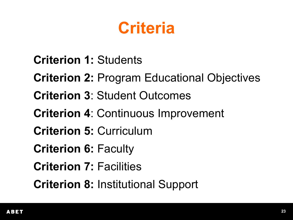#### **Criteria**

**Criterion 1:** Students **Criterion 2:** Program Educational Objectives **Criterion 3**: Student Outcomes **Criterion 4**: Continuous Improvement **Criterion 5:** Curriculum **Criterion 6:** Faculty **Criterion 7: Facilities Criterion 8:** Institutional Support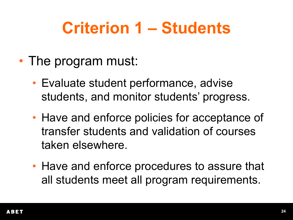## **Criterion 1 – Students**

- The program must:
	- Evaluate student performance, advise students, and monitor students' progress.
	- Have and enforce policies for acceptance of transfer students and validation of courses taken elsewhere.
	- Have and enforce procedures to assure that all students meet all program requirements.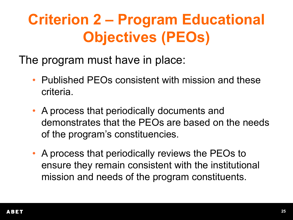#### **Criterion 2 – Program Educational Objectives (PEOs)**

The program must have in place:

- Published PEOs consistent with mission and these criteria.
- A process that periodically documents and demonstrates that the PEOs are based on the needs of the program's constituencies.
- A process that periodically reviews the PEOs to ensure they remain consistent with the institutional mission and needs of the program constituents.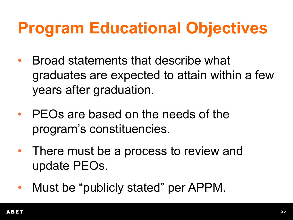## **Program Educational Objectives**

- Broad statements that describe what graduates are expected to attain within a few years after graduation.
- PEOs are based on the needs of the program's constituencies.
- There must be a process to review and update PEOs.
- Must be "publicly stated" per APPM.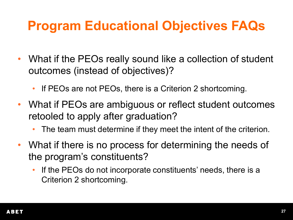#### **Program Educational Objectives FAQs**

- What if the PEOs really sound like a collection of student outcomes (instead of objectives)?
	- If PEOs are not PEOs, there is a Criterion 2 shortcoming.
- What if PEOs are ambiguous or reflect student outcomes retooled to apply after graduation?
	- The team must determine if they meet the intent of the criterion.
- What if there is no process for determining the needs of the program's constituents?
	- If the PEOs do not incorporate constituents' needs, there is a Criterion 2 shortcoming.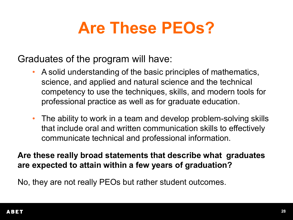## **Are These PEOs?**

Graduates of the program will have:

- A solid understanding of the basic principles of mathematics, science, and applied and natural science and the technical competency to use the techniques, skills, and modern tools for professional practice as well as for graduate education.
- The ability to work in a team and develop problem-solving skills that include oral and written communication skills to effectively communicate technical and professional information.

**Are these really broad statements that describe what graduates are expected to attain within a few years of graduation?**

No, they are not really PEOs but rather student outcomes.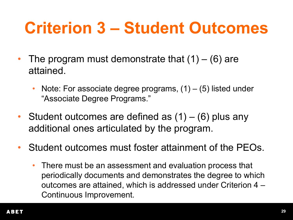## **Criterion 3 – Student Outcomes**

- The program must demonstrate that  $(1) (6)$  are attained.
	- Note: For associate degree programs,  $(1) (5)$  listed under "Associate Degree Programs."
- Student outcomes are defined as  $(1) (6)$  plus any additional ones articulated by the program.
- Student outcomes must foster attainment of the PEOs.
	- There must be an assessment and evaluation process that periodically documents and demonstrates the degree to which outcomes are attained, which is addressed under Criterion 4 – Continuous Improvement.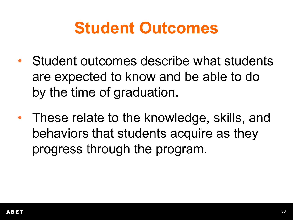#### **Student Outcomes**

- Student outcomes describe what students are expected to know and be able to do by the time of graduation.
- These relate to the knowledge, skills, and behaviors that students acquire as they progress through the program.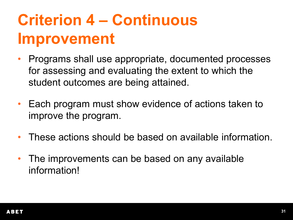## **Criterion 4 – Continuous Improvement**

- Programs shall use appropriate, documented processes for assessing and evaluating the extent to which the student outcomes are being attained.
- Each program must show evidence of actions taken to improve the program.
- These actions should be based on available information.
- The improvements can be based on any available information!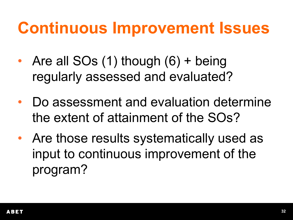#### **Continuous Improvement Issues**

- Are all  $SOs(1)$  though  $(6)$  + being regularly assessed and evaluated?
- Do assessment and evaluation determine the extent of attainment of the SOs?
- Are those results systematically used as input to continuous improvement of the program?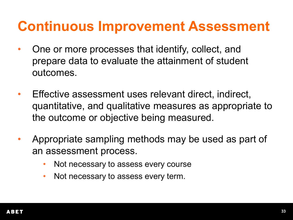#### **Continuous Improvement Assessment**

- One or more processes that identify, collect, and prepare data to evaluate the attainment of student outcomes.
- Effective assessment uses relevant direct, indirect, quantitative, and qualitative measures as appropriate to the outcome or objective being measured.
- Appropriate sampling methods may be used as part of an assessment process.
	- Not necessary to assess every course
	- Not necessary to assess every term.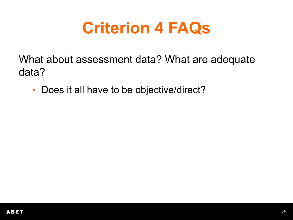What about assessment data? What are adequate data?

• Does it all have to be objective/direct?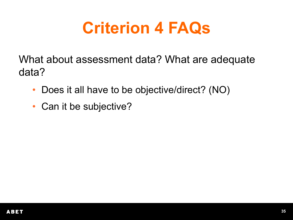- Does it all have to be objective/direct? (NO)
- Can it be subjective?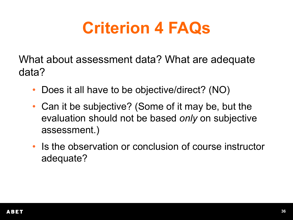- Does it all have to be objective/direct? (NO)
- Can it be subjective? (Some of it may be, but the evaluation should not be based *only* on subjective assessment.)
- Is the observation or conclusion of course instructor adequate?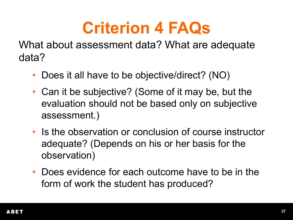- Does it all have to be objective/direct? (NO)
- Can it be subjective? (Some of it may be, but the evaluation should not be based only on subjective assessment.)
- Is the observation or conclusion of course instructor adequate? (Depends on his or her basis for the observation)
- Does evidence for each outcome have to be in the form of work the student has produced?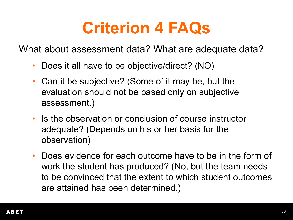- Does it all have to be objective/direct? (NO)
- Can it be subjective? (Some of it may be, but the evaluation should not be based only on subjective assessment.)
- Is the observation or conclusion of course instructor adequate? (Depends on his or her basis for the observation)
- Does evidence for each outcome have to be in the form of work the student has produced? (No, but the team needs to be convinced that the extent to which student outcomes are attained has been determined.)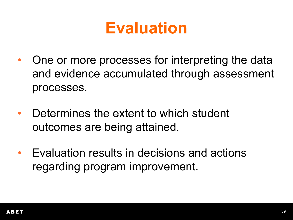#### **Evaluation**

- One or more processes for interpreting the data and evidence accumulated through assessment processes.
- Determines the extent to which student outcomes are being attained.
- Evaluation results in decisions and actions regarding program improvement.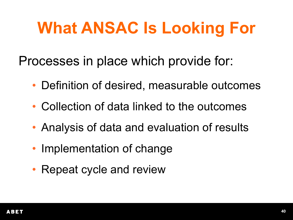Processes in place which provide for:

- Definition of desired, measurable outcomes
- Collection of data linked to the outcomes
- Analysis of data and evaluation of results
- Implementation of change
- Repeat cycle and review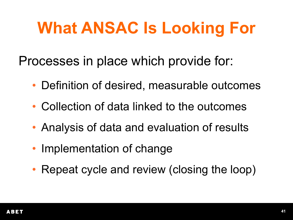Processes in place which provide for:

- Definition of desired, measurable outcomes
- Collection of data linked to the outcomes
- Analysis of data and evaluation of results
- Implementation of change
- Repeat cycle and review (closing the loop)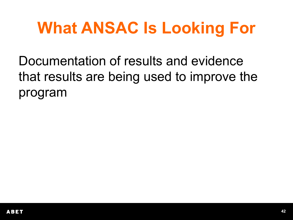Documentation of results and evidence that results are being used to improve the program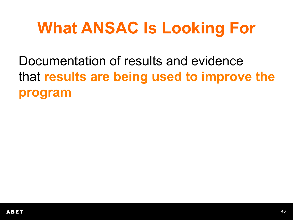Documentation of results and evidence that **results are being used to improve the program**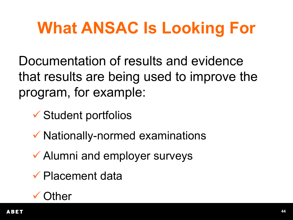Documentation of results and evidence that results are being used to improve the program, for example:

Student portfolios

- $\checkmark$  Nationally-normed examinations
- Alumni and employer surveys
- Placement data

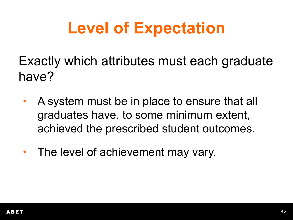## **Level of Expectation**

Exactly which attributes must each graduate have?

- A system must be in place to ensure that all graduates have, to some minimum extent, achieved the prescribed student outcomes.
- The level of achievement may vary.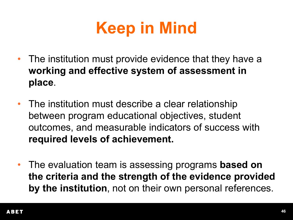

- The institution must provide evidence that they have a **working and effective system of assessment in place**.
- The institution must describe a clear relationship between program educational objectives, student outcomes, and measurable indicators of success with **required levels of achievement.**
- The evaluation team is assessing programs **based on the criteria and the strength of the evidence provided by the institution**, not on their own personal references.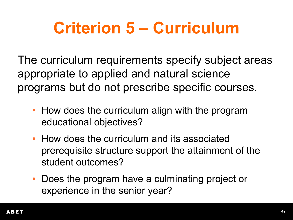## **Criterion 5 – Curriculum**

The curriculum requirements specify subject areas appropriate to applied and natural science programs but do not prescribe specific courses.

- How does the curriculum align with the program educational objectives?
- How does the curriculum and its associated prerequisite structure support the attainment of the student outcomes?
- Does the program have a culminating project or experience in the senior year?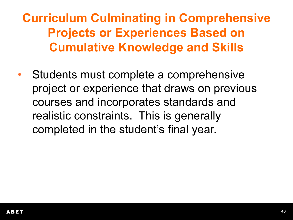**Curriculum Culminating in Comprehensive Projects or Experiences Based on Cumulative Knowledge and Skills**

Students must complete a comprehensive project or experience that draws on previous courses and incorporates standards and realistic constraints. This is generally completed in the student's final year.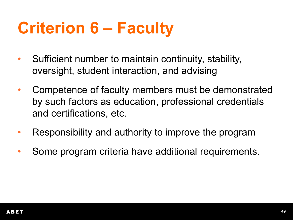## **Criterion 6 – Faculty**

- Sufficient number to maintain continuity, stability, oversight, student interaction, and advising
- Competence of faculty members must be demonstrated by such factors as education, professional credentials and certifications, etc.
- Responsibility and authority to improve the program
- Some program criteria have additional requirements.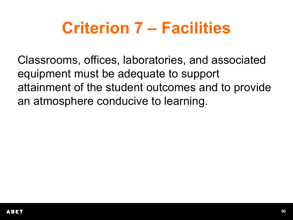## **Criterion 7 – Facilities**

Classrooms, offices, laboratories, and associated equipment must be adequate to support attainment of the student outcomes and to provide an atmosphere conducive to learning.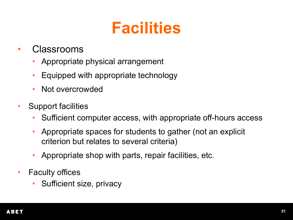## **Facilities**

- Classrooms
	- Appropriate physical arrangement
	- Equipped with appropriate technology
	- Not overcrowded
- Support facilities
	- Sufficient computer access, with appropriate off-hours access
	- Appropriate spaces for students to gather (not an explicit criterion but relates to several criteria)
	- Appropriate shop with parts, repair facilities, etc.
- Faculty offices
	- Sufficient size, privacy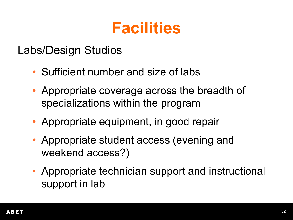### **Facilities**

#### Labs/Design Studios

- Sufficient number and size of labs
- Appropriate coverage across the breadth of specializations within the program
- Appropriate equipment, in good repair
- Appropriate student access (evening and weekend access?)
- Appropriate technician support and instructional support in lab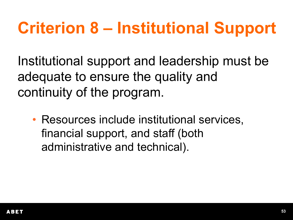# **Criterion 8 – Institutional Support**

Institutional support and leadership must be adequate to ensure the quality and continuity of the program.

• Resources include institutional services, financial support, and staff (both administrative and technical).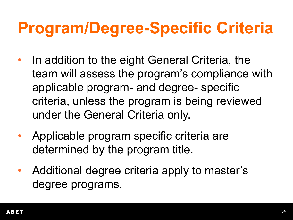## **Program/Degree-Specific Criteria**

- In addition to the eight General Criteria, the team will assess the program's compliance with applicable program- and degree- specific criteria, unless the program is being reviewed under the General Criteria only.
- Applicable program specific criteria are determined by the program title.
- Additional degree criteria apply to master's degree programs.